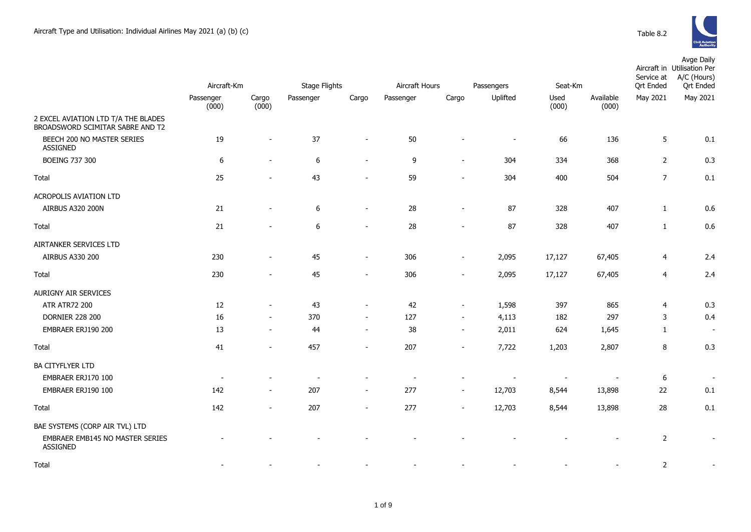

|                                                                                      | Aircraft-Km              |                              | <b>Stage Flights</b> | Aircraft Hours               |           | Passengers<br>Seat-Km    |                |               | Service at<br><b>Qrt Ended</b> | Avge Daily<br>Aircraft in Utilisation Per<br>A/C (Hours)<br><b>Qrt Ended</b> |          |
|--------------------------------------------------------------------------------------|--------------------------|------------------------------|----------------------|------------------------------|-----------|--------------------------|----------------|---------------|--------------------------------|------------------------------------------------------------------------------|----------|
|                                                                                      | Passenger<br>(000)       | Cargo<br>(000)               | Passenger            | Cargo                        | Passenger | Cargo                    | Uplifted       | Used<br>(000) | Available<br>(000)             | May 2021                                                                     | May 2021 |
| 2 EXCEL AVIATION LTD T/A THE BLADES<br>BROADSWORD SCIMITAR SABRE AND T2              |                          |                              |                      |                              |           |                          |                |               |                                |                                                                              |          |
| BEECH 200 NO MASTER SERIES<br><b>ASSIGNED</b>                                        | 19                       | $\blacksquare$               | 37                   | $\blacksquare$               | 50        |                          | $\blacksquare$ | 66            | 136                            | 5                                                                            | 0.1      |
| <b>BOEING 737 300</b>                                                                | 6                        | $\overline{\phantom{a}}$     | 6                    | $\overline{\phantom{a}}$     | 9         | $\overline{\phantom{a}}$ | 304            | 334           | 368                            | $\overline{2}$                                                               | 0.3      |
| Total                                                                                | 25                       | $\overline{\phantom{a}}$     | 43                   | $\sim$                       | 59        | $\overline{\phantom{a}}$ | 304            | 400           | 504                            | $\overline{7}$                                                               | 0.1      |
| ACROPOLIS AVIATION LTD                                                               |                          |                              |                      |                              |           |                          |                |               |                                |                                                                              |          |
| AIRBUS A320 200N                                                                     | 21                       | $\overline{\phantom{a}}$     | $\boldsymbol{6}$     | $\overline{\phantom{a}}$     | 28        | $\overline{\phantom{a}}$ | 87             | 328           | 407                            | $\mathbf{1}$                                                                 | 0.6      |
| Total                                                                                | 21                       |                              | $\boldsymbol{6}$     | $\overline{\phantom{a}}$     | 28        |                          | 87             | 328           | 407                            | $\mathbf{1}$                                                                 | 0.6      |
| AIRTANKER SERVICES LTD                                                               |                          |                              |                      |                              |           |                          |                |               |                                |                                                                              |          |
| AIRBUS A330 200                                                                      | 230                      | $\overline{\phantom{a}}$     | 45                   | $\qquad \qquad \blacksquare$ | 306       | $\overline{\phantom{a}}$ | 2,095          | 17,127        | 67,405                         | $\overline{4}$                                                               | 2.4      |
| Total                                                                                | 230                      | $\overline{\phantom{a}}$     | 45                   | $\overline{\phantom{a}}$     | 306       | $\overline{\phantom{a}}$ | 2,095          | 17,127        | 67,405                         | $\overline{4}$                                                               | 2.4      |
| AURIGNY AIR SERVICES                                                                 |                          |                              |                      |                              |           |                          |                |               |                                |                                                                              |          |
| <b>ATR ATR72 200</b>                                                                 | 12                       | $\blacksquare$               | 43                   | $\blacksquare$               | 42        | $\blacksquare$           | 1,598          | 397           | 865                            | 4                                                                            | 0.3      |
| <b>DORNIER 228 200</b>                                                               | 16                       | $\sim$                       | 370                  | $\sim$                       | 127       | $\blacksquare$           | 4,113          | 182           | 297                            | 3                                                                            | 0.4      |
| EMBRAER ERJ190 200                                                                   | 13                       | $\blacksquare$               | 44                   | $\overline{\phantom{0}}$     | 38        | $\overline{\phantom{a}}$ | 2,011          | 624           | 1,645                          | $\mathbf{1}$                                                                 | $\sim$   |
| Total                                                                                | 41                       | $\overline{\phantom{a}}$     | 457                  | $\overline{\phantom{a}}$     | 207       | $\blacksquare$           | 7,722          | 1,203         | 2,807                          | 8                                                                            | 0.3      |
| BA CITYFLYER LTD                                                                     |                          |                              |                      |                              |           |                          |                |               |                                |                                                                              |          |
| EMBRAER ERJ170 100                                                                   | $\overline{\phantom{a}}$ |                              |                      |                              |           |                          |                |               |                                | $\boldsymbol{6}$                                                             |          |
| EMBRAER ERJ190 100                                                                   | 142                      | $\overline{\phantom{a}}$     | 207                  | $\overline{\phantom{a}}$     | 277       | $\overline{\phantom{a}}$ | 12,703         | 8,544         | 13,898                         | 22                                                                           | 0.1      |
| Total                                                                                | 142                      | $\qquad \qquad \blacksquare$ | 207                  |                              | 277       |                          | 12,703         | 8,544         | 13,898                         | 28                                                                           | 0.1      |
| BAE SYSTEMS (CORP AIR TVL) LTD<br>EMBRAER EMB145 NO MASTER SERIES<br><b>ASSIGNED</b> |                          |                              |                      |                              |           |                          |                |               |                                | $\overline{2}$                                                               |          |

Total - - - - - - - - - 2 -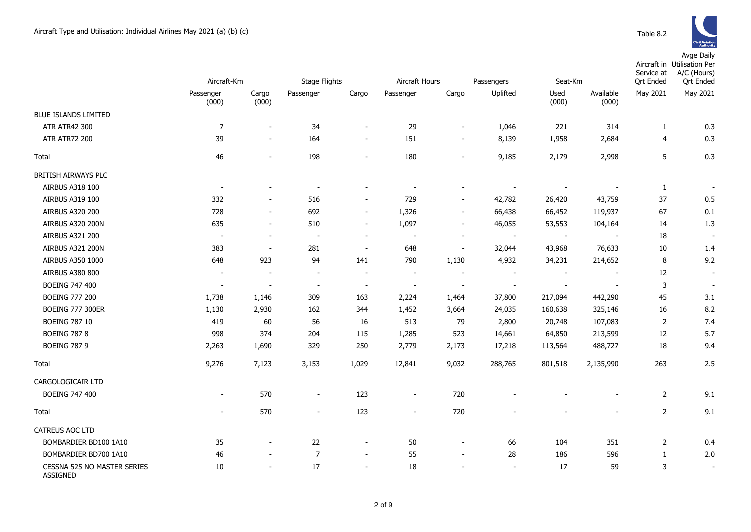Avge Daily

|                                                | Aircraft-Km              |                          | <b>Stage Flights</b>     |                          |                          | Aircraft Hours<br>Passengers<br>Seat-Km |                          | <b>Ort Ended</b>         | Aircraft in Utilisation Per<br>A/C (Hours)<br>Service at<br><b>Qrt Ended</b> |                |                          |
|------------------------------------------------|--------------------------|--------------------------|--------------------------|--------------------------|--------------------------|-----------------------------------------|--------------------------|--------------------------|------------------------------------------------------------------------------|----------------|--------------------------|
|                                                | Passenger<br>(000)       | Cargo<br>(000)           | Passenger                | Cargo                    | Passenger                | Cargo                                   | Uplifted                 | Used<br>(000)            | Available<br>(000)                                                           | May 2021       | May 2021                 |
| <b>BLUE ISLANDS LIMITED</b>                    |                          |                          |                          |                          |                          |                                         |                          |                          |                                                                              |                |                          |
| <b>ATR ATR42 300</b>                           | 7                        | $\blacksquare$           | 34                       | $\blacksquare$           | 29                       | $\blacksquare$                          | 1,046                    | 221                      | 314                                                                          | 1              | 0.3                      |
| <b>ATR ATR72 200</b>                           | 39                       | $\overline{\phantom{a}}$ | 164                      | $\overline{\phantom{a}}$ | 151                      | $\overline{\phantom{a}}$                | 8,139                    | 1,958                    | 2,684                                                                        | 4              | 0.3                      |
| Total                                          | 46                       | $\overline{a}$           | 198                      | $\blacksquare$           | 180                      | $\overline{a}$                          | 9,185                    | 2,179                    | 2,998                                                                        | 5              | 0.3                      |
| BRITISH AIRWAYS PLC                            |                          |                          |                          |                          |                          |                                         |                          |                          |                                                                              |                |                          |
| AIRBUS A318 100                                | $\overline{\phantom{a}}$ |                          | $\overline{\phantom{a}}$ |                          |                          |                                         | $\overline{\phantom{a}}$ | $\overline{\phantom{a}}$ |                                                                              | $\mathbf{1}$   | $\overline{a}$           |
| AIRBUS A319 100                                | 332                      | $\overline{\phantom{a}}$ | 516                      | $\overline{\phantom{a}}$ | 729                      | $\overline{\phantom{a}}$                | 42,782                   | 26,420                   | 43,759                                                                       | 37             | $0.5\,$                  |
| AIRBUS A320 200                                | 728                      | $\overline{\phantom{0}}$ | 692                      | $\overline{\phantom{a}}$ | 1,326                    | $\overline{a}$                          | 66,438                   | 66,452                   | 119,937                                                                      | 67             | 0.1                      |
| AIRBUS A320 200N                               | 635                      | $\overline{a}$           | 510                      | $\overline{\phantom{a}}$ | 1,097                    | $\overline{a}$                          | 46,055                   | 53,553                   | 104,164                                                                      | 14             | 1.3                      |
| AIRBUS A321 200                                | $\overline{\phantom{a}}$ | $\overline{\phantom{a}}$ | $\overline{\phantom{a}}$ | $\overline{\phantom{a}}$ |                          | $\overline{\phantom{a}}$                | $\blacksquare$           |                          |                                                                              | 18             | $\overline{\phantom{a}}$ |
| AIRBUS A321 200N                               | 383                      | $\overline{\phantom{a}}$ | 281                      | $\overline{\phantom{a}}$ | 648                      | $\overline{\phantom{a}}$                | 32,044                   | 43,968                   | 76,633                                                                       | 10             | 1.4                      |
| AIRBUS A350 1000                               | 648                      | 923                      | 94                       | 141                      | 790                      | 1,130                                   | 4,932                    | 34,231                   | 214,652                                                                      | 8              | 9.2                      |
| <b>AIRBUS A380 800</b>                         | $\overline{\phantom{a}}$ | $\overline{\phantom{a}}$ | $\overline{\phantom{a}}$ | $\overline{\phantom{a}}$ | $\overline{\phantom{a}}$ | $\overline{\phantom{a}}$                | $\overline{\phantom{a}}$ | $\overline{\phantom{a}}$ | $\overline{\phantom{a}}$                                                     | 12             | $\overline{\phantom{a}}$ |
| <b>BOEING 747 400</b>                          | $\overline{\phantom{a}}$ | $\blacksquare$           | $\overline{\phantom{a}}$ | $\overline{\phantom{a}}$ | $\blacksquare$           | $\blacksquare$                          | $\blacksquare$           | $\blacksquare$           | $\overline{\phantom{a}}$                                                     | 3              | $\overline{\phantom{a}}$ |
| <b>BOEING 777 200</b>                          | 1,738                    | 1,146                    | 309                      | 163                      | 2,224                    | 1,464                                   | 37,800                   | 217,094                  | 442,290                                                                      | 45             | 3.1                      |
| <b>BOEING 777 300ER</b>                        | 1,130                    | 2,930                    | 162                      | 344                      | 1,452                    | 3,664                                   | 24,035                   | 160,638                  | 325,146                                                                      | 16             | 8.2                      |
| <b>BOEING 787 10</b>                           | 419                      | 60                       | 56                       | 16                       | 513                      | 79                                      | 2,800                    | 20,748                   | 107,083                                                                      | 2              | 7.4                      |
| <b>BOEING 787 8</b>                            | 998                      | 374                      | 204                      | 115                      | 1,285                    | 523                                     | 14,661                   | 64,850                   | 213,599                                                                      | 12             | 5.7                      |
| <b>BOEING 787 9</b>                            | 2,263                    | 1,690                    | 329                      | 250                      | 2,779                    | 2,173                                   | 17,218                   | 113,564                  | 488,727                                                                      | 18             | 9.4                      |
| Total                                          | 9,276                    | 7,123                    | 3,153                    | 1,029                    | 12,841                   | 9,032                                   | 288,765                  | 801,518                  | 2,135,990                                                                    | 263            | 2.5                      |
| CARGOLOGICAIR LTD                              |                          |                          |                          |                          |                          |                                         |                          |                          |                                                                              |                |                          |
| <b>BOEING 747 400</b>                          | $\overline{\phantom{a}}$ | 570                      | $\overline{\phantom{a}}$ | 123                      | $\overline{\phantom{a}}$ | 720                                     |                          |                          |                                                                              | $\overline{2}$ | 9.1                      |
| Total                                          | $\overline{\phantom{a}}$ | 570                      | $\blacksquare$           | 123                      | $\overline{\phantom{a}}$ | 720                                     |                          |                          | $\overline{\phantom{a}}$                                                     | $\overline{2}$ | 9.1                      |
| CATREUS AOC LTD                                |                          |                          |                          |                          |                          |                                         |                          |                          |                                                                              |                |                          |
| BOMBARDIER BD100 1A10                          | 35                       |                          | 22                       | $\overline{\phantom{a}}$ | 50                       | $\overline{\phantom{a}}$                | 66                       | 104                      | 351                                                                          | $\overline{2}$ | 0.4                      |
| BOMBARDIER BD700 1A10                          | 46                       |                          | $\overline{7}$           | $\overline{\phantom{a}}$ | 55                       | $\overline{\phantom{a}}$                | 28                       | 186                      | 596                                                                          | $\mathbf{1}$   | 2.0                      |
| CESSNA 525 NO MASTER SERIES<br><b>ASSIGNED</b> | 10                       | $\blacksquare$           | 17                       | $\overline{\phantom{a}}$ | 18                       |                                         | $\blacksquare$           | 17                       | 59                                                                           | 3              | $\overline{\phantom{a}}$ |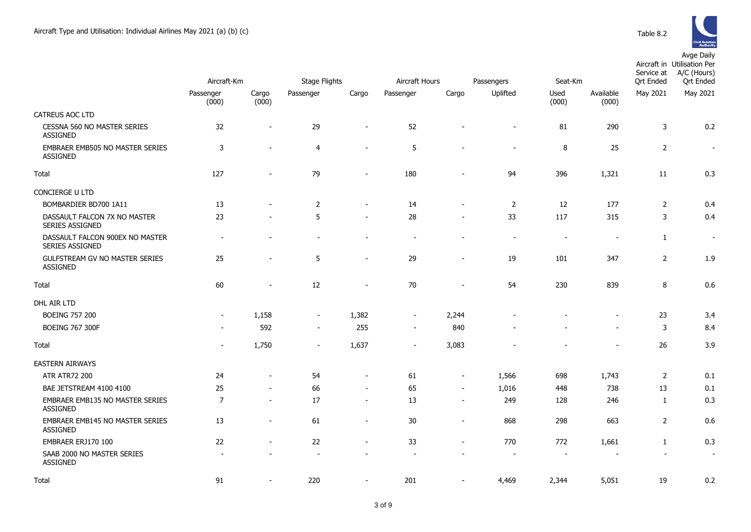

|                                                       | Aircraft-Km              |                          | <b>Stage Flights</b>     |                          | Aircraft Hours           |                          | Passengers               | Seat-Km                  |                          | Service at<br><b>Qrt Ended</b> | Aircraft in Utilisation Per<br>A/C (Hours)<br><b>Qrt Ended</b> |
|-------------------------------------------------------|--------------------------|--------------------------|--------------------------|--------------------------|--------------------------|--------------------------|--------------------------|--------------------------|--------------------------|--------------------------------|----------------------------------------------------------------|
|                                                       | Passenger<br>(000)       | Cargo<br>(000)           | Passenger                | Cargo                    | Passenger                | Cargo                    | Uplifted                 | Used<br>(000)            | Available<br>(000)       | May 2021                       | May 2021                                                       |
| CATREUS AOC LTD                                       |                          |                          |                          |                          |                          |                          |                          |                          |                          |                                |                                                                |
| <b>CESSNA 560 NO MASTER SERIES</b><br><b>ASSIGNED</b> | 32                       |                          | 29                       |                          | 52                       |                          | $\overline{\phantom{a}}$ | 81                       | 290                      | 3                              | 0.2                                                            |
| EMBRAER EMB505 NO MASTER SERIES<br><b>ASSIGNED</b>    | 3                        |                          | $\overline{4}$           |                          | 5                        |                          | $\overline{\phantom{a}}$ | 8                        | 25                       | $\overline{2}$                 | $\sim$                                                         |
| Total                                                 | 127                      |                          | 79                       | $\sim$                   | 180                      |                          | 94                       | 396                      | 1,321                    | 11                             | 0.3                                                            |
| CONCIERGE U LTD                                       |                          |                          |                          |                          |                          |                          |                          |                          |                          |                                |                                                                |
| BOMBARDIER BD700 1A11                                 | 13                       |                          | 2                        | $\sim$                   | 14                       |                          | 2                        | 12                       | 177                      | $\overline{2}$                 | 0.4                                                            |
| DASSAULT FALCON 7X NO MASTER<br>SERIES ASSIGNED       | 23                       |                          | 5                        |                          | 28                       |                          | 33                       | 117                      | 315                      | 3                              | 0.4                                                            |
| DASSAULT FALCON 900EX NO MASTER<br>SERIES ASSIGNED    | $\overline{\phantom{a}}$ |                          | $\overline{\phantom{a}}$ |                          | $\overline{\phantom{a}}$ |                          | $\blacksquare$           | $\overline{\phantom{a}}$ | $\overline{\phantom{a}}$ | 1                              | $\sim$                                                         |
| GULFSTREAM GV NO MASTER SERIES<br><b>ASSIGNED</b>     | 25                       |                          | 5                        | $\overline{\phantom{a}}$ | 29                       | $\overline{\phantom{a}}$ | 19                       | 101                      | 347                      | $\overline{2}$                 | 1.9                                                            |
| Total                                                 | 60                       |                          | 12                       | $\sim$                   | 70                       |                          | 54                       | 230                      | 839                      | 8                              | 0.6                                                            |
| DHL AIR LTD                                           |                          |                          |                          |                          |                          |                          |                          |                          |                          |                                |                                                                |
| <b>BOEING 757 200</b>                                 | $\overline{\phantom{a}}$ | 1,158                    | $\overline{\phantom{a}}$ | 1,382                    | $\sim$                   | 2,244                    |                          |                          | $\blacksquare$           | 23                             | 3.4                                                            |
| <b>BOEING 767 300F</b>                                |                          | 592                      | $\sim$                   | 255                      | $\sim$                   | 840                      |                          |                          | $\overline{\phantom{0}}$ | 3                              | 8.4                                                            |
| Total                                                 |                          | 1,750                    |                          | 1,637                    |                          | 3,083                    |                          |                          | $\overline{\phantom{a}}$ | 26                             | 3.9                                                            |
| <b>EASTERN AIRWAYS</b>                                |                          |                          |                          |                          |                          |                          |                          |                          |                          |                                |                                                                |
| <b>ATR ATR72 200</b>                                  | 24                       |                          | 54                       | $\overline{\phantom{a}}$ | 61                       | $\sim$                   | 1,566                    | 698                      | 1,743                    | 2                              | 0.1                                                            |
| BAE JETSTREAM 4100 4100                               | 25                       | $\overline{\phantom{a}}$ | 66                       | $\blacksquare$           | 65                       | $\blacksquare$           | 1,016                    | 448                      | 738                      | 13                             | 0.1                                                            |
| EMBRAER EMB135 NO MASTER SERIES<br><b>ASSIGNED</b>    | $\overline{7}$           | $\overline{\phantom{a}}$ | 17                       | $\sim$                   | 13                       | $\sim$                   | 249                      | 128                      | 246                      | $\mathbf{1}$                   | 0.3                                                            |
| EMBRAER EMB145 NO MASTER SERIES<br><b>ASSIGNED</b>    | 13                       |                          | 61                       | $\blacksquare$           | 30                       |                          | 868                      | 298                      | 663                      | 2                              | 0.6                                                            |
| EMBRAER ERJ170 100                                    | 22                       |                          | 22                       | $\sim$                   | 33                       | $\sim$                   | 770                      | 772                      | 1,661                    | $\mathbf{1}$                   | 0.3                                                            |
| SAAB 2000 NO MASTER SERIES<br><b>ASSIGNED</b>         |                          |                          |                          |                          |                          |                          | $\overline{\phantom{a}}$ | $\overline{\phantom{a}}$ | $\overline{\phantom{a}}$ | $\blacksquare$                 | $\sim$                                                         |
| Total                                                 | 91                       |                          | 220                      |                          | 201                      |                          | 4,469                    | 2,344                    | 5,051                    | 19                             | 0.2                                                            |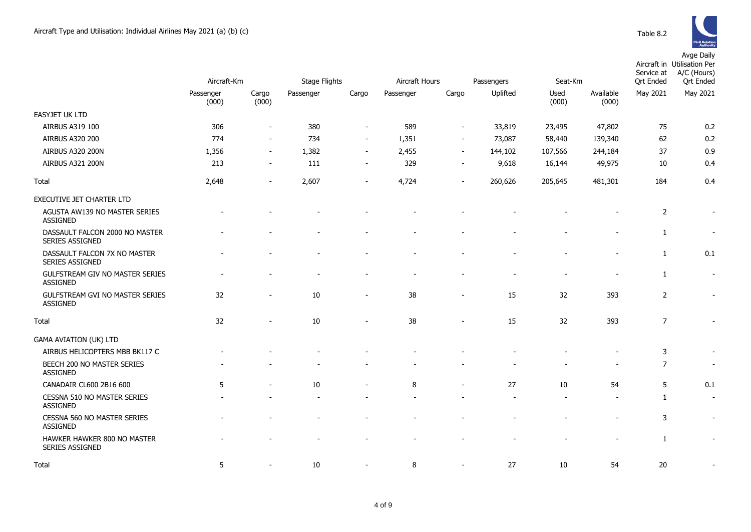

|                                                    | Aircraft-Km |                          | Stage Flights |                          |           | Aircraft Hours<br>Seat-Km<br>Passengers |                          |         |                |                              | Aircraft in Utilisation Per<br>A/C (Hours)<br>Service at<br><b>Qrt Ended</b> |
|----------------------------------------------------|-------------|--------------------------|---------------|--------------------------|-----------|-----------------------------------------|--------------------------|---------|----------------|------------------------------|------------------------------------------------------------------------------|
|                                                    | Passenger   | Cargo                    | Passenger     | Cargo                    | Passenger | Cargo                                   | Uplifted                 | Used    | Available      | <b>Qrt Ended</b><br>May 2021 | May 2021                                                                     |
|                                                    | (000)       | (000)                    |               |                          |           |                                         |                          | (000)   | (000)          |                              |                                                                              |
| EASYJET UK LTD                                     |             |                          |               |                          |           |                                         |                          |         |                |                              |                                                                              |
| AIRBUS A319 100                                    | 306         | $\overline{\phantom{a}}$ | 380           | $\sim$                   | 589       | $\sim$                                  | 33,819                   | 23,495  | 47,802         | 75                           | 0.2                                                                          |
| AIRBUS A320 200                                    | 774         | $\sim$                   | 734           | $\overline{\phantom{a}}$ | 1,351     | $\overline{\phantom{a}}$                | 73,087                   | 58,440  | 139,340        | 62                           | 0.2                                                                          |
| AIRBUS A320 200N                                   | 1,356       | $\overline{\phantom{a}}$ | 1,382         | $\overline{\phantom{a}}$ | 2,455     | $\overline{\phantom{a}}$                | 144,102                  | 107,566 | 244,184        | 37                           | 0.9                                                                          |
| AIRBUS A321 200N                                   | 213         | $\overline{\phantom{a}}$ | 111           | $\overline{\phantom{a}}$ | 329       | $\overline{\phantom{a}}$                | 9,618                    | 16,144  | 49,975         | 10                           | 0.4                                                                          |
| Total                                              | 2,648       | $\overline{\phantom{a}}$ | 2,607         | $\overline{\phantom{0}}$ | 4,724     |                                         | 260,626                  | 205,645 | 481,301        | 184                          | 0.4                                                                          |
| EXECUTIVE JET CHARTER LTD                          |             |                          |               |                          |           |                                         |                          |         |                |                              |                                                                              |
| AGUSTA AW139 NO MASTER SERIES<br><b>ASSIGNED</b>   |             |                          |               |                          |           |                                         |                          |         |                | $\overline{2}$               | $\overline{\phantom{a}}$                                                     |
| DASSAULT FALCON 2000 NO MASTER<br>SERIES ASSIGNED  |             |                          |               |                          |           |                                         |                          |         |                | 1                            |                                                                              |
| DASSAULT FALCON 7X NO MASTER<br>SERIES ASSIGNED    |             |                          |               |                          |           |                                         |                          |         |                | $\mathbf{1}$                 | 0.1                                                                          |
| GULFSTREAM GIV NO MASTER SERIES<br><b>ASSIGNED</b> |             |                          |               |                          |           |                                         |                          |         |                | 1                            | $\sim$                                                                       |
| GULFSTREAM GVI NO MASTER SERIES<br><b>ASSIGNED</b> | 32          | $\overline{\phantom{a}}$ | 10            | $\overline{\phantom{a}}$ | 38        | $\blacksquare$                          | 15                       | 32      | 393            | 2                            | $\overline{\phantom{a}}$                                                     |
| Total                                              | 32          |                          | 10            | $\overline{\phantom{a}}$ | 38        |                                         | 15                       | 32      | 393            | $\overline{7}$               | $\overline{\phantom{a}}$                                                     |
| <b>GAMA AVIATION (UK) LTD</b>                      |             |                          |               |                          |           |                                         |                          |         |                |                              |                                                                              |
| AIRBUS HELICOPTERS MBB BK117 C                     |             |                          |               |                          |           |                                         |                          |         |                | 3                            | $\overline{\phantom{a}}$                                                     |
| BEECH 200 NO MASTER SERIES<br><b>ASSIGNED</b>      |             |                          |               |                          |           |                                         |                          |         |                | $\overline{7}$               | $\sim$                                                                       |
| CANADAIR CL600 2B16 600                            | 5           | $\overline{\phantom{0}}$ | 10            | $\overline{\phantom{0}}$ | 8         | $\overline{\phantom{a}}$                | 27                       | 10      | 54             | 5                            | 0.1                                                                          |
| CESSNA 510 NO MASTER SERIES<br><b>ASSIGNED</b>     |             |                          |               |                          |           |                                         | $\overline{\phantom{a}}$ |         |                | 1                            | $\sim$                                                                       |
| CESSNA 560 NO MASTER SERIES<br><b>ASSIGNED</b>     |             |                          |               |                          |           |                                         |                          |         | $\overline{a}$ | 3                            | $\sim$                                                                       |
| HAWKER HAWKER 800 NO MASTER<br>SERIES ASSIGNED     |             |                          |               |                          |           |                                         |                          |         |                | 1                            | $\blacksquare$                                                               |
| Total                                              | 5           |                          | 10            |                          | 8         |                                         | 27                       | 10      | 54             | 20                           |                                                                              |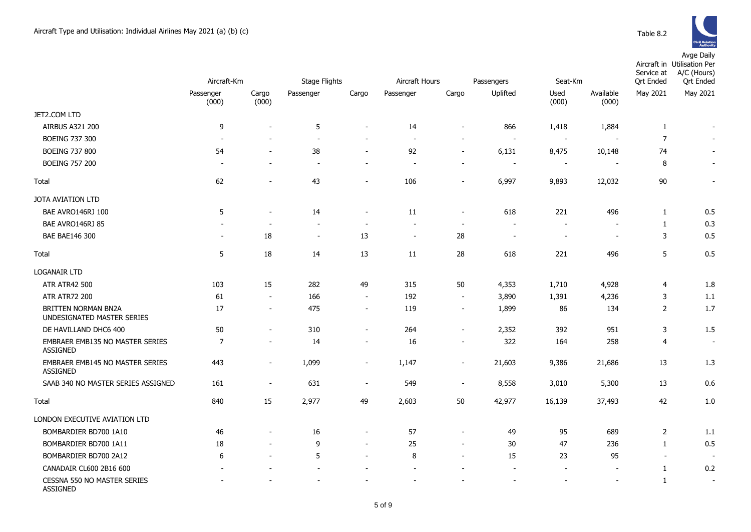Avge Daily

|                                                    | Aircraft-Km              |                          | <b>Stage Flights</b>     |                          | Aircraft Hours |                          | Passengers               | Seat-Km                  |                          | Ort Ended      | Aircraft in Utilisation Per<br>A/C (Hours)<br>Service at<br><b>Qrt Ended</b> |  |
|----------------------------------------------------|--------------------------|--------------------------|--------------------------|--------------------------|----------------|--------------------------|--------------------------|--------------------------|--------------------------|----------------|------------------------------------------------------------------------------|--|
|                                                    | Passenger<br>(000)       | Cargo<br>(000)           | Passenger                | Cargo                    | Passenger      | Cargo                    | Uplifted                 | Used<br>(000)            | Available<br>(000)       | May 2021       | May 2021                                                                     |  |
| JET2.COM LTD                                       |                          |                          |                          |                          |                |                          |                          |                          |                          |                |                                                                              |  |
| <b>AIRBUS A321 200</b>                             | 9                        | ÷.                       | 5                        | $\overline{a}$           | 14             | $\overline{a}$           | 866                      | 1,418                    | 1,884                    | 1              | $\blacksquare$                                                               |  |
| <b>BOEING 737 300</b>                              | $\overline{\phantom{a}}$ | $\overline{\phantom{0}}$ | $\blacksquare$           | $\overline{\phantom{a}}$ | $\sim$         | $\overline{a}$           | $\blacksquare$           |                          |                          | $\overline{7}$ | $\overline{a}$                                                               |  |
| <b>BOEING 737 800</b>                              | 54                       | $\blacksquare$           | 38                       | $\overline{\phantom{a}}$ | 92             | $\sim$                   | 6,131                    | 8,475                    | 10,148                   | 74             |                                                                              |  |
| <b>BOEING 757 200</b>                              | $\overline{\phantom{a}}$ | $\overline{\phantom{0}}$ | $\blacksquare$           | $\overline{\phantom{a}}$ | $\overline{a}$ | $\overline{a}$           | $\blacksquare$           | $\overline{\phantom{a}}$ |                          | 8              | $\overline{\phantom{a}}$                                                     |  |
| Total                                              | 62                       | $\blacksquare$           | 43                       | $\overline{a}$           | 106            | $\blacksquare$           | 6,997                    | 9,893                    | 12,032                   | 90             | $\blacksquare$                                                               |  |
| <b>JOTA AVIATION LTD</b>                           |                          |                          |                          |                          |                |                          |                          |                          |                          |                |                                                                              |  |
| BAE AVRO146RJ 100                                  | 5                        |                          | 14                       | $\blacksquare$           | 11             | ÷,                       | 618                      | 221                      | 496                      | $\mathbf{1}$   | 0.5                                                                          |  |
| BAE AVRO146RJ 85                                   |                          | $\overline{\phantom{0}}$ | $\overline{a}$           | $\blacksquare$           | $\overline{a}$ | $\overline{a}$           | $\overline{\phantom{a}}$ |                          |                          | $\mathbf{1}$   | 0.3                                                                          |  |
| <b>BAE BAE146 300</b>                              | $\overline{\phantom{a}}$ | 18                       | $\overline{\phantom{a}}$ | 13                       | $\blacksquare$ | 28                       | $\overline{\phantom{a}}$ | $\overline{\phantom{a}}$ | $\overline{\phantom{a}}$ | 3              | 0.5                                                                          |  |
| Total                                              | 5                        | 18                       | 14                       | 13                       | 11             | 28                       | 618                      | 221                      | 496                      | 5              | 0.5                                                                          |  |
| <b>LOGANAIR LTD</b>                                |                          |                          |                          |                          |                |                          |                          |                          |                          |                |                                                                              |  |
| <b>ATR ATR42 500</b>                               | 103                      | 15                       | 282                      | 49                       | 315            | 50                       | 4,353                    | 1,710                    | 4,928                    | $\overline{4}$ | 1.8                                                                          |  |
| <b>ATR ATR72 200</b>                               | 61                       | $\blacksquare$           | 166                      | $\sim$                   | 192            | $\overline{\phantom{a}}$ | 3,890                    | 1,391                    | 4,236                    | 3              | 1.1                                                                          |  |
| BRITTEN NORMAN BN2A<br>UNDESIGNATED MASTER SERIES  | 17                       | $\overline{\phantom{a}}$ | 475                      | $\overline{\phantom{a}}$ | 119            | $\overline{\phantom{a}}$ | 1,899                    | 86                       | 134                      | $\overline{2}$ | 1.7                                                                          |  |
| DE HAVILLAND DHC6 400                              | 50                       | $\blacksquare$           | 310                      | $\overline{\phantom{a}}$ | 264            | $\blacksquare$           | 2,352                    | 392                      | 951                      | 3              | 1.5                                                                          |  |
| EMBRAER EMB135 NO MASTER SERIES<br><b>ASSIGNED</b> | 7                        | $\overline{\phantom{a}}$ | 14                       | $\overline{\phantom{a}}$ | 16             | $\overline{\phantom{a}}$ | 322                      | 164                      | 258                      | $\overline{4}$ | $\overline{\phantom{a}}$                                                     |  |
| EMBRAER EMB145 NO MASTER SERIES<br><b>ASSIGNED</b> | 443                      | $\overline{\phantom{m}}$ | 1,099                    | $\overline{\phantom{m}}$ | 1,147          | $\overline{a}$           | 21,603                   | 9,386                    | 21,686                   | 13             | 1.3                                                                          |  |
| SAAB 340 NO MASTER SERIES ASSIGNED                 | 161                      | $\blacksquare$           | 631                      | $\overline{\phantom{m}}$ | 549            | $\overline{\phantom{a}}$ | 8,558                    | 3,010                    | 5,300                    | 13             | 0.6                                                                          |  |
| Total                                              | 840                      | 15                       | 2,977                    | 49                       | 2,603          | 50                       | 42,977                   | 16,139                   | 37,493                   | 42             | 1.0                                                                          |  |
| LONDON EXECUTIVE AVIATION LTD                      |                          |                          |                          |                          |                |                          |                          |                          |                          |                |                                                                              |  |
| BOMBARDIER BD700 1A10                              | 46                       |                          | 16                       | $\blacksquare$           | 57             | $\overline{a}$           | 49                       | 95                       | 689                      | $\overline{2}$ | 1.1                                                                          |  |
| BOMBARDIER BD700 1A11                              | 18                       | $\blacksquare$           | 9                        | $\overline{\phantom{a}}$ | 25             | $\overline{\phantom{a}}$ | 30                       | 47                       | 236                      | 1              | 0.5                                                                          |  |
| BOMBARDIER BD700 2A12                              | 6                        | $\overline{\phantom{0}}$ | 5                        | $\blacksquare$           | 8              | $\overline{a}$           | 15                       | 23                       | 95                       | $\blacksquare$ | $\overline{\phantom{a}}$                                                     |  |
| CANADAIR CL600 2B16 600                            |                          |                          |                          |                          | $\overline{a}$ |                          | $\overline{\phantom{a}}$ | $\overline{\phantom{a}}$ |                          | 1              | 0.2                                                                          |  |
| CESSNA 550 NO MASTER SERIES<br><b>ASSIGNED</b>     |                          |                          |                          |                          |                |                          |                          |                          |                          | $\mathbf{1}$   | $\blacksquare$                                                               |  |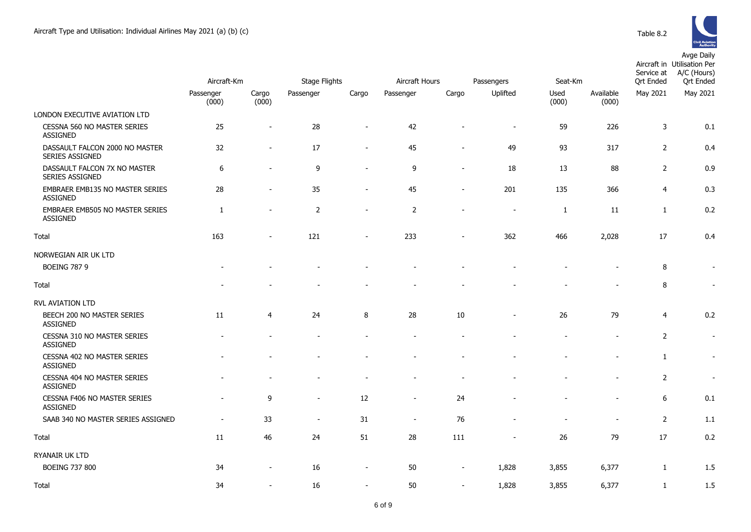

|                                                          | Aircraft-Km              |                          | <b>Stage Flights</b> |                          | Aircraft Hours           |                          | Passengers               | Seat-Km       |                    | Service at<br><b>Qrt Ended</b> | Aircraft in Utilisation Per<br>A/C (Hours)<br><b>Qrt</b> Ended |
|----------------------------------------------------------|--------------------------|--------------------------|----------------------|--------------------------|--------------------------|--------------------------|--------------------------|---------------|--------------------|--------------------------------|----------------------------------------------------------------|
|                                                          | Passenger<br>(000)       | Cargo<br>(000)           | Passenger            | Cargo                    | Passenger                | Cargo                    | Uplifted                 | Used<br>(000) | Available<br>(000) | May 2021                       | May 2021                                                       |
| LONDON EXECUTIVE AVIATION LTD                            |                          |                          |                      |                          |                          |                          |                          |               |                    |                                |                                                                |
| CESSNA 560 NO MASTER SERIES<br><b>ASSIGNED</b>           | 25                       | $\blacksquare$           | 28                   | $\overline{\phantom{a}}$ | 42                       |                          | $\overline{a}$           | 59            | 226                | $\overline{3}$                 | 0.1                                                            |
| DASSAULT FALCON 2000 NO MASTER<br><b>SERIES ASSIGNED</b> | 32                       | $\sim$                   | 17                   | $\sim$                   | 45                       |                          | 49                       | 93            | 317                | $\overline{2}$                 | 0.4                                                            |
| DASSAULT FALCON 7X NO MASTER<br>SERIES ASSIGNED          | 6                        | $\overline{\phantom{a}}$ | 9                    | $\blacksquare$           | 9                        | $\sim$                   | 18                       | 13            | 88                 | $\overline{2}$                 | 0.9                                                            |
| EMBRAER EMB135 NO MASTER SERIES<br><b>ASSIGNED</b>       | 28                       | $\blacksquare$           | 35                   | $\overline{\phantom{a}}$ | 45                       |                          | 201                      | 135           | 366                | $\overline{4}$                 | 0.3                                                            |
| EMBRAER EMB505 NO MASTER SERIES<br>ASSIGNED              | $\mathbf{1}$             |                          | $\overline{2}$       |                          | $\overline{2}$           |                          | $\overline{\phantom{a}}$ | $\mathbf{1}$  | 11                 | $\mathbf{1}$                   | 0.2                                                            |
| <b>Total</b>                                             | 163                      | $\overline{\phantom{a}}$ | 121                  | $\overline{\phantom{a}}$ | 233                      | $\sim$                   | 362                      | 466           | 2,028              | 17                             | 0.4                                                            |
| NORWEGIAN AIR UK LTD                                     |                          |                          |                      |                          |                          |                          |                          |               |                    |                                |                                                                |
| <b>BOEING 787 9</b>                                      |                          |                          |                      |                          |                          |                          |                          |               |                    | 8                              | $\blacksquare$                                                 |
| Total                                                    |                          |                          |                      |                          |                          |                          |                          |               |                    | 8                              | $\overline{\phantom{a}}$                                       |
| <b>RVL AVIATION LTD</b>                                  |                          |                          |                      |                          |                          |                          |                          |               |                    |                                |                                                                |
| BEECH 200 NO MASTER SERIES<br>ASSIGNED                   | 11                       | $\overline{4}$           | 24                   | 8                        | 28                       | 10                       |                          | 26            | 79                 | $\overline{4}$                 | 0.2                                                            |
| CESSNA 310 NO MASTER SERIES<br><b>ASSIGNED</b>           |                          |                          |                      |                          |                          |                          |                          |               | $\sim$             | $\overline{2}$                 | $\overline{\phantom{a}}$                                       |
| CESSNA 402 NO MASTER SERIES<br>ASSIGNED                  |                          |                          |                      |                          |                          |                          |                          |               |                    | $\mathbf{1}$                   | $\overline{\phantom{a}}$                                       |
| CESSNA 404 NO MASTER SERIES<br>ASSIGNED                  |                          |                          |                      |                          |                          |                          |                          |               |                    | $\overline{2}$                 | $\sim$                                                         |
| CESSNA F406 NO MASTER SERIES<br><b>ASSIGNED</b>          | $\overline{a}$           | 9                        | $\blacksquare$       | 12                       |                          | 24                       |                          |               | $\overline{a}$     | 6                              | 0.1                                                            |
| SAAB 340 NO MASTER SERIES ASSIGNED                       | $\overline{\phantom{a}}$ | 33                       | $\sim$               | 31                       | $\overline{\phantom{a}}$ | 76                       |                          |               | $\overline{a}$     | $\overline{2}$                 | 1.1                                                            |
| <b>Total</b>                                             | 11                       | 46                       | 24                   | 51                       | 28                       | 111                      |                          | 26            | 79                 | 17                             | 0.2                                                            |
| RYANAIR UK LTD                                           |                          |                          |                      |                          |                          |                          |                          |               |                    |                                |                                                                |
| <b>BOEING 737 800</b>                                    | 34                       | $\overline{\phantom{a}}$ | 16                   | $\sim$                   | 50                       | $\overline{\phantom{a}}$ | 1,828                    | 3,855         | 6,377              | $\mathbf{1}$                   | 1.5                                                            |
| Total                                                    | 34                       |                          | 16                   | $\sim$                   | 50                       | $\sim$                   | 1,828                    | 3,855         | 6,377              | $\mathbf{1}$                   | 1.5                                                            |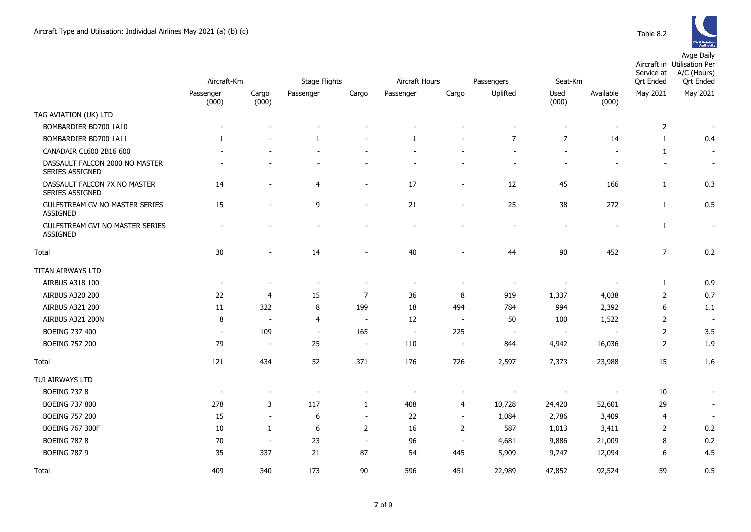

| Table 8.2 |  |
|-----------|--|
|           |  |

|                                                        | Aircraft-Km              |                          | <b>Stage Flights</b>     |                          | Aircraft Hours           |                          | Passengers               | Seat-Km                      |                          | Service at<br><b>Qrt Ended</b> | Aircraft in Utilisation Per<br>A/C (Hours)<br><b>Qrt Ended</b> |
|--------------------------------------------------------|--------------------------|--------------------------|--------------------------|--------------------------|--------------------------|--------------------------|--------------------------|------------------------------|--------------------------|--------------------------------|----------------------------------------------------------------|
|                                                        | Passenger<br>(000)       | Cargo<br>(000)           | Passenger                | Cargo                    | Passenger                | Cargo                    | Uplifted                 | Used<br>(000)                | Available<br>(000)       | May 2021                       | May 2021                                                       |
| TAG AVIATION (UK) LTD                                  |                          |                          |                          |                          |                          |                          |                          |                              |                          |                                |                                                                |
| BOMBARDIER BD700 1A10                                  |                          |                          |                          |                          |                          |                          |                          |                              |                          | $\overline{2}$                 |                                                                |
| BOMBARDIER BD700 1A11                                  | 1                        | $\blacksquare$           | $\mathbf{1}$             |                          | $\mathbf{1}$             |                          | $\overline{7}$           | $\overline{7}$               | 14                       | $\mathbf{1}$                   | 0.4                                                            |
| CANADAIR CL600 2B16 600                                |                          |                          |                          |                          |                          |                          |                          |                              |                          | 1                              | $\overline{\phantom{a}}$                                       |
| DASSAULT FALCON 2000 NO MASTER<br>SERIES ASSIGNED      |                          |                          |                          |                          |                          |                          |                          |                              |                          |                                | $\blacksquare$                                                 |
| DASSAULT FALCON 7X NO MASTER<br><b>SERIES ASSIGNED</b> | 14                       |                          | $\overline{4}$           |                          | 17                       | $\sim$                   | 12                       | 45                           | 166                      | 1                              | 0.3                                                            |
| GULFSTREAM GV NO MASTER SERIES<br>ASSIGNED             | 15                       | $\blacksquare$           | 9                        | $\blacksquare$           | 21                       | $\overline{\phantom{a}}$ | 25                       | 38                           | 272                      | $\mathbf{1}$                   | 0.5                                                            |
| GULFSTREAM GVI NO MASTER SERIES<br><b>ASSIGNED</b>     |                          |                          |                          |                          |                          |                          |                          | $\qquad \qquad \blacksquare$ |                          | 1                              | $\overline{a}$                                                 |
| Total                                                  | 30                       |                          | 14                       |                          | 40                       |                          | 44                       | 90                           | 452                      | $\overline{7}$                 | 0.2                                                            |
| TITAN AIRWAYS LTD                                      |                          |                          |                          |                          |                          |                          |                          |                              |                          |                                |                                                                |
| AIRBUS A318 100                                        | $\blacksquare$           |                          | $\blacksquare$           |                          |                          |                          | $\overline{\phantom{a}}$ | $\overline{\phantom{a}}$     |                          | 1                              | 0.9                                                            |
| AIRBUS A320 200                                        | 22                       | $\overline{4}$           | 15                       | $\overline{7}$           | 36                       | 8                        | 919                      | 1,337                        | 4,038                    | $\overline{2}$                 | 0.7                                                            |
| AIRBUS A321 200                                        | 11                       | 322                      | 8                        | 199                      | 18                       | 494                      | 784                      | 994                          | 2,392                    | $6\phantom{1}6$                | 1.1                                                            |
| <b>AIRBUS A321 200N</b>                                | 8                        | $\overline{\phantom{a}}$ | $\overline{4}$           | $\overline{\phantom{a}}$ | 12                       | $\blacksquare$           | 50                       | 100                          | 1,522                    | $\overline{2}$                 | $\overline{\phantom{a}}$                                       |
| BOEING 737 400                                         | $\overline{\phantom{a}}$ | 109                      | $\overline{\phantom{a}}$ | 165                      | $\overline{\phantom{a}}$ | 225                      | $\sim$                   | $\sim$                       | $\overline{\phantom{a}}$ | $\overline{2}$                 | 3.5                                                            |
| <b>BOEING 757 200</b>                                  | 79                       | $\overline{\phantom{a}}$ | 25                       | $\sim$                   | 110                      | $\blacksquare$           | 844                      | 4,942                        | 16,036                   | $\overline{2}$                 | 1.9                                                            |
| Total                                                  | 121                      | 434                      | 52                       | 371                      | 176                      | 726                      | 2,597                    | 7,373                        | 23,988                   | 15                             | 1.6                                                            |
| TUI AIRWAYS LTD                                        |                          |                          |                          |                          |                          |                          |                          |                              |                          |                                |                                                                |
| <b>BOEING 737 8</b>                                    | $\overline{\phantom{a}}$ | $\overline{\phantom{0}}$ | $\overline{\phantom{a}}$ |                          |                          | $\overline{\phantom{a}}$ |                          |                              |                          | 10                             | $\sim$                                                         |
| <b>BOEING 737 800</b>                                  | 278                      | 3                        | 117                      | $\mathbf{1}$             | 408                      | $\overline{4}$           | 10,728                   | 24,420                       | 52,601                   | 29                             | $\blacksquare$                                                 |
| <b>BOEING 757 200</b>                                  | 15                       | $\blacksquare$           | 6                        | $\overline{\phantom{a}}$ | 22                       | $\sim$                   | 1,084                    | 2,786                        | 3,409                    | $\overline{4}$                 | $\overline{\phantom{a}}$                                       |
| <b>BOEING 767 300F</b>                                 | 10                       | 1                        | 6                        | 2                        | 16                       | $\overline{2}$           | 587                      | 1,013                        | 3,411                    | $\overline{2}$                 | 0.2                                                            |
| <b>BOEING 787 8</b>                                    | 70                       | $\sim$                   | 23                       | $\sim$                   | 96                       | $\blacksquare$           | 4,681                    | 9,886                        | 21,009                   | 8                              | 0.2                                                            |
| <b>BOEING 787 9</b>                                    | 35                       | 337                      | 21                       | 87                       | 54                       | 445                      | 5,909                    | 9,747                        | 12,094                   | 6                              | 4.5                                                            |
| Total                                                  | 409                      | 340                      | 173                      | 90                       | 596                      | 451                      | 22,989                   | 47,852                       | 92,524                   | 59                             | 0.5                                                            |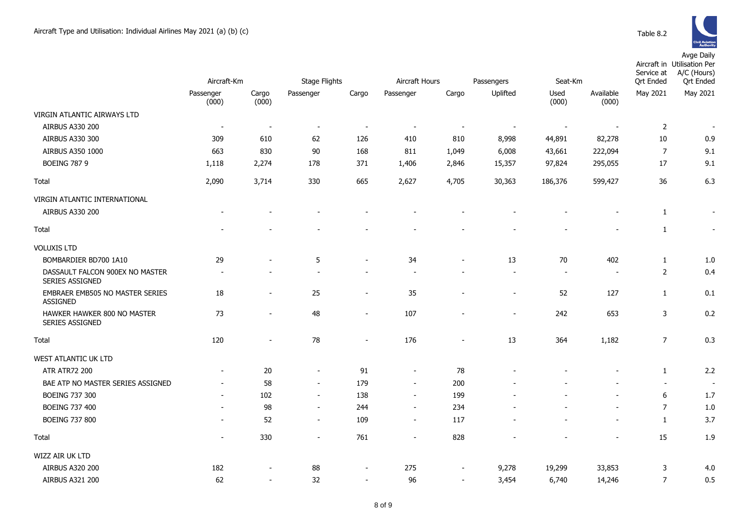

|                                                       |                          |                          |                          |                          |                          |                          |                          |                |                    | Service at       | Aircraft in Utilisation Per<br>A/C (Hours) |
|-------------------------------------------------------|--------------------------|--------------------------|--------------------------|--------------------------|--------------------------|--------------------------|--------------------------|----------------|--------------------|------------------|--------------------------------------------|
|                                                       | Aircraft-Km              |                          | <b>Stage Flights</b>     |                          | Aircraft Hours           |                          | Passengers               | Seat-Km        |                    | <b>Qrt Ended</b> | <b>Qrt Ended</b>                           |
|                                                       | Passenger<br>(000)       | Cargo<br>(000)           | Passenger                | Cargo                    | Passenger                | Cargo                    | Uplifted                 | Used<br>(000)  | Available<br>(000) | May 2021         | May 2021                                   |
| VIRGIN ATLANTIC AIRWAYS LTD                           |                          |                          |                          |                          |                          |                          |                          |                |                    |                  |                                            |
| AIRBUS A330 200                                       | $\blacksquare$           | $\overline{\phantom{a}}$ | $\overline{\phantom{a}}$ | $\overline{\phantom{a}}$ | $\overline{\phantom{a}}$ | $\overline{\phantom{a}}$ | $\overline{\phantom{a}}$ | $\blacksquare$ |                    | $\overline{2}$   |                                            |
| AIRBUS A330 300                                       | 309                      | 610                      | 62                       | 126                      | 410                      | 810                      | 8,998                    | 44,891         | 82,278             | 10               | 0.9                                        |
| AIRBUS A350 1000                                      | 663                      | 830                      | 90                       | 168                      | 811                      | 1,049                    | 6,008                    | 43,661         | 222,094            | $\overline{7}$   | 9.1                                        |
| <b>BOEING 787 9</b>                                   | 1,118                    | 2,274                    | 178                      | 371                      | 1,406                    | 2,846                    | 15,357                   | 97,824         | 295,055            | 17               | 9.1                                        |
| Total                                                 | 2,090                    | 3,714                    | 330                      | 665                      | 2,627                    | 4,705                    | 30,363                   | 186,376        | 599,427            | 36               | 6.3                                        |
| VIRGIN ATLANTIC INTERNATIONAL                         |                          |                          |                          |                          |                          |                          |                          |                |                    |                  |                                            |
| <b>AIRBUS A330 200</b>                                |                          |                          |                          |                          |                          |                          |                          |                |                    | $\mathbf{1}$     | $\sim$                                     |
| Total                                                 |                          |                          |                          |                          |                          |                          |                          |                |                    | $\mathbf{1}$     | $\blacksquare$                             |
| <b>VOLUXIS LTD</b>                                    |                          |                          |                          |                          |                          |                          |                          |                |                    |                  |                                            |
| BOMBARDIER BD700 1A10                                 | 29                       |                          | 5                        | $\overline{\phantom{a}}$ | 34                       |                          | 13                       | 70             | 402                | $\mathbf{1}$     | 1.0                                        |
| DASSAULT FALCON 900EX NO MASTER<br>SERIES ASSIGNED    |                          |                          |                          |                          |                          |                          | $\overline{\phantom{a}}$ |                |                    | $\mathbf 2$      | 0.4                                        |
| EMBRAER EMB505 NO MASTER SERIES<br><b>ASSIGNED</b>    | 18                       | $\overline{\phantom{a}}$ | 25                       | $\overline{\phantom{a}}$ | 35                       |                          | $\sim$                   | 52             | 127                | $\mathbf{1}$     | 0.1                                        |
| HAWKER HAWKER 800 NO MASTER<br><b>SERIES ASSIGNED</b> | 73                       | $\blacksquare$           | 48                       | $\blacksquare$           | 107                      | $\overline{\phantom{a}}$ | $\blacksquare$           | 242            | 653                | 3                | 0.2                                        |
| Total                                                 | 120                      | $\overline{\phantom{a}}$ | 78                       | $\blacksquare$           | 176                      | $\blacksquare$           | 13                       | 364            | 1,182              | $\overline{7}$   | 0.3                                        |
| WEST ATLANTIC UK LTD                                  |                          |                          |                          |                          |                          |                          |                          |                |                    |                  |                                            |
| <b>ATR ATR72 200</b>                                  | $\overline{\phantom{a}}$ | 20                       | $\blacksquare$           | 91                       | $\overline{\phantom{a}}$ | 78                       |                          |                |                    | $\mathbf{1}$     | 2.2                                        |
| BAE ATP NO MASTER SERIES ASSIGNED                     |                          | 58                       | $\blacksquare$           | 179                      | $\overline{\phantom{m}}$ | 200                      |                          |                |                    | $\blacksquare$   | $\overline{\phantom{a}}$                   |
| <b>BOEING 737 300</b>                                 |                          | 102                      | $\sim$                   | 138                      | $\sim$                   | 199                      |                          |                |                    | 6                | 1.7                                        |
| <b>BOEING 737 400</b>                                 |                          | 98                       | $\blacksquare$           | 244                      | $\blacksquare$           | 234                      |                          |                |                    | $\overline{7}$   | 1.0                                        |
| <b>BOEING 737 800</b>                                 | $\overline{\phantom{a}}$ | 52                       | $\sim$                   | 109                      | $\blacksquare$           | 117                      |                          |                |                    | $\mathbf{1}$     | 3.7                                        |
| Total                                                 | $\sim$                   | 330                      | $\blacksquare$           | 761                      | $\blacksquare$           | 828                      |                          |                |                    | 15               | 1.9                                        |
| WIZZ AIR UK LTD                                       |                          |                          |                          |                          |                          |                          |                          |                |                    |                  |                                            |
| AIRBUS A320 200                                       | 182                      |                          | 88                       | $\overline{\phantom{a}}$ | 275                      | $\overline{\phantom{a}}$ | 9,278                    | 19,299         | 33,853             | 3                | 4.0                                        |
| AIRBUS A321 200                                       | 62                       | $\blacksquare$           | 32                       | $\blacksquare$           | 96                       | $\blacksquare$           | 3,454                    | 6,740          | 14,246             | $\overline{7}$   | 0.5                                        |